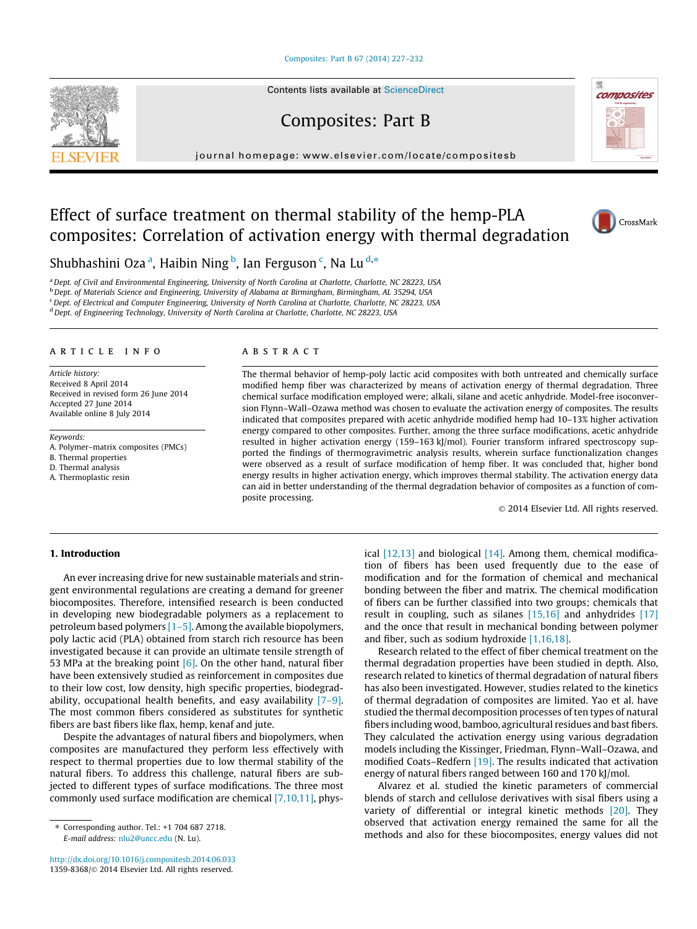#### [Composites: Part B 67 \(2014\) 227–232](http://dx.doi.org/10.1016/j.compositesb.2014.06.033)

Contents lists available at [ScienceDirect](http://www.sciencedirect.com/science/journal/13598368)

## Composites: Part B

journal homepage: [www.elsevier.com/locate/compositesb](http://www.elsevier.com/locate/compositesb)

# Effect of surface treatment on thermal stability of the hemp-PLA composites: Correlation of activation energy with thermal degradation

Shubhashini Ozaª, Haibin Ning<sup>b</sup>, Ian Ferguson¢, Na Lu<sup>d,</sup>\*

a Dept. of Civil and Environmental Engineering, University of North Carolina at Charlotte, Charlotte, NC 28223, USA b Dept. of Materials Science and Engineering, University of Alabama at Birmingham, Birmingham, AL 35294, USA <sup>c</sup> Dept. of Electrical and Computer Engineering, University of North Carolina at Charlotte, Charlotte, NC 28223, USA <sup>d</sup> Dept. of Engineering Technology, University of North Carolina at Charlotte, Charlotte, NC 28223, USA

#### article info

Article history: Received 8 April 2014 Received in revised form 26 June 2014 Accepted 27 June 2014 Available online 8 July 2014

Keywords:

- A. Polymer–matrix composites (PMCs)
- B. Thermal properties
- D. Thermal analysis
- A. Thermoplastic resin

#### **ABSTRACT**

The thermal behavior of hemp-poly lactic acid composites with both untreated and chemically surface modified hemp fiber was characterized by means of activation energy of thermal degradation. Three chemical surface modification employed were; alkali, silane and acetic anhydride. Model-free isoconversion Flynn–Wall–Ozawa method was chosen to evaluate the activation energy of composites. The results indicated that composites prepared with acetic anhydride modified hemp had 10–13% higher activation energy compared to other composites. Further, among the three surface modifications, acetic anhydride resulted in higher activation energy (159–163 kJ/mol). Fourier transform infrared spectroscopy supported the findings of thermogravimetric analysis results, wherein surface functionalization changes were observed as a result of surface modification of hemp fiber. It was concluded that, higher bond energy results in higher activation energy, which improves thermal stability. The activation energy data can aid in better understanding of the thermal degradation behavior of composites as a function of composite processing.

- 2014 Elsevier Ltd. All rights reserved.

### 1. Introduction

An ever increasing drive for new sustainable materials and stringent environmental regulations are creating a demand for greener biocomposites. Therefore, intensified research is been conducted in developing new biodegradable polymers as a replacement to petroleum based polymers [\[1–5\].](#page-4-0) Among the available biopolymers, poly lactic acid (PLA) obtained from starch rich resource has been investigated because it can provide an ultimate tensile strength of 53 MPa at the breaking point  $[6]$ . On the other hand, natural fiber have been extensively studied as reinforcement in composites due to their low cost, low density, high specific properties, biodegradability, occupational health benefits, and easy availability [\[7–9\].](#page-5-0) The most common fibers considered as substitutes for synthetic fibers are bast fibers like flax, hemp, kenaf and jute.

Despite the advantages of natural fibers and biopolymers, when composites are manufactured they perform less effectively with respect to thermal properties due to low thermal stability of the natural fibers. To address this challenge, natural fibers are subjected to different types of surface modifications. The three most commonly used surface modification are chemical [\[7,10,11\]](#page-5-0), phys-

<http://dx.doi.org/10.1016/j.compositesb.2014.06.033> 1359-8368/© 2014 Elsevier Ltd. All rights reserved.

ical [\[12,13\]](#page-5-0) and biological [\[14\].](#page-5-0) Among them, chemical modification of fibers has been used frequently due to the ease of modification and for the formation of chemical and mechanical bonding between the fiber and matrix. The chemical modification of fibers can be further classified into two groups; chemicals that result in coupling, such as silanes [\[15,16\]](#page-5-0) and anhydrides [\[17\]](#page-5-0) and the once that result in mechanical bonding between polymer and fiber, such as sodium hydroxide [\[1,16,18\]](#page-4-0).

Research related to the effect of fiber chemical treatment on the thermal degradation properties have been studied in depth. Also, research related to kinetics of thermal degradation of natural fibers has also been investigated. However, studies related to the kinetics of thermal degradation of composites are limited. Yao et al. have studied the thermal decomposition processes of ten types of natural fibers including wood, bamboo, agricultural residues and bast fibers. They calculated the activation energy using various degradation models including the Kissinger, Friedman, Flynn–Wall–Ozawa, and modified Coats–Redfern [\[19\].](#page-5-0) The results indicated that activation energy of natural fibers ranged between 160 and 170 kJ/mol.

Alvarez et al. studied the kinetic parameters of commercial blends of starch and cellulose derivatives with sisal fibers using a variety of differential or integral kinetic methods [\[20\].](#page-5-0) They observed that activation energy remained the same for all the methods and also for these biocomposites, energy values did not





CrossMark

<sup>⇑</sup> Corresponding author. Tel.: +1 704 687 2718. E-mail address: [nlu2@uncc.edu](mailto:nlu2@uncc.edu) (N. Lu).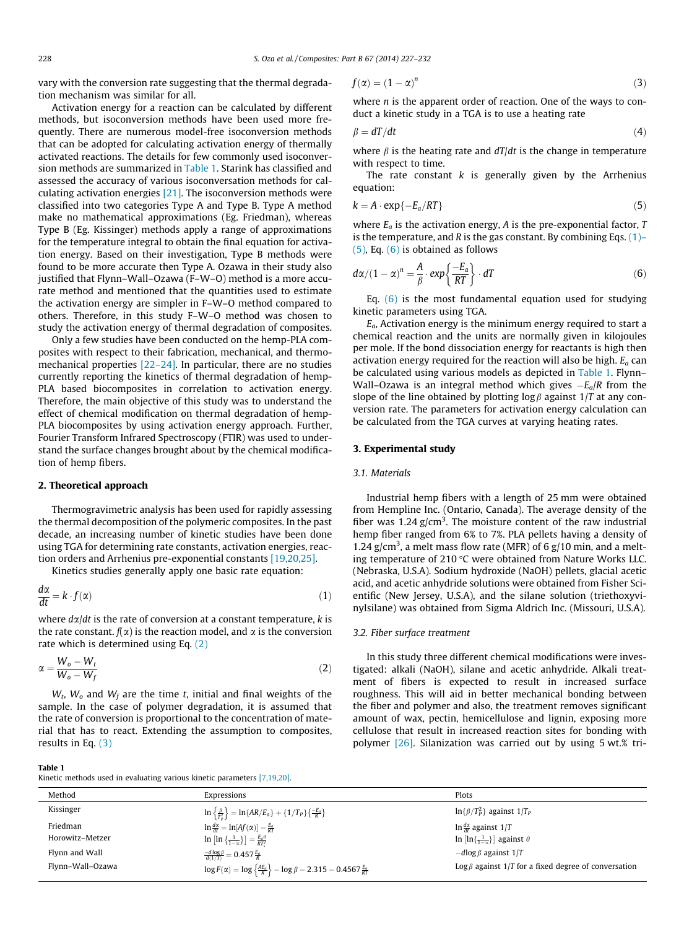vary with the conversion rate suggesting that the thermal degradation mechanism was similar for all.

Activation energy for a reaction can be calculated by different methods, but isoconversion methods have been used more frequently. There are numerous model-free isoconversion methods that can be adopted for calculating activation energy of thermally activated reactions. The details for few commonly used isoconversion methods are summarized in Table 1. Starink has classified and assessed the accuracy of various isoconversation methods for calculating activation energies [\[21\].](#page-5-0) The isoconversion methods were classified into two categories Type A and Type B. Type A method make no mathematical approximations (Eg. Friedman), whereas Type B (Eg. Kissinger) methods apply a range of approximations for the temperature integral to obtain the final equation for activation energy. Based on their investigation, Type B methods were found to be more accurate then Type A. Ozawa in their study also justified that Flynn–Wall–Ozawa (F–W–O) method is a more accurate method and mentioned that the quantities used to estimate the activation energy are simpler in F–W–O method compared to others. Therefore, in this study F–W–O method was chosen to study the activation energy of thermal degradation of composites.

Only a few studies have been conducted on the hemp-PLA composites with respect to their fabrication, mechanical, and thermomechanical properties [\[22–24\].](#page-5-0) In particular, there are no studies currently reporting the kinetics of thermal degradation of hemp-PLA based biocomposites in correlation to activation energy. Therefore, the main objective of this study was to understand the effect of chemical modification on thermal degradation of hemp-PLA biocomposites by using activation energy approach. Further, Fourier Transform Infrared Spectroscopy (FTIR) was used to understand the surface changes brought about by the chemical modification of hemp fibers.

#### 2. Theoretical approach

Table 1

Thermogravimetric analysis has been used for rapidly assessing the thermal decomposition of the polymeric composites. In the past decade, an increasing number of kinetic studies have been done using TGA for determining rate constants, activation energies, reaction orders and Arrhenius pre-exponential constants [\[19,20,25\].](#page-5-0)

Kinetics studies generally apply one basic rate equation:

$$
\frac{d\alpha}{dt} = k \cdot f(\alpha) \tag{1}
$$

where  $d\alpha/dt$  is the rate of conversion at a constant temperature, k is the rate constant.  $f(x)$  is the reaction model, and  $\alpha$  is the conversion rate which is determined using Eq. (2)

$$
\alpha = \frac{W_o - W_t}{W_o - W_f} \tag{2}
$$

 $W_t$ ,  $W_0$  and  $W_f$  are the time t, initial and final weights of the sample. In the case of polymer degradation, it is assumed that the rate of conversion is proportional to the concentration of material that has to react. Extending the assumption to composites, results in Eq. (3)

$$
f(\alpha) = (1 - \alpha)^n \tag{3}
$$

where *n* is the apparent order of reaction. One of the ways to conduct a kinetic study in a TGA is to use a heating rate

$$
\beta = dT/dt \tag{4}
$$

where  $\beta$  is the heating rate and  $dT/dt$  is the change in temperature with respect to time.

The rate constant  $k$  is generally given by the Arrhenius equation:

$$
k = A \cdot \exp\{-E_a/RT\} \tag{5}
$$

where  $E_a$  is the activation energy, A is the pre-exponential factor, T is the temperature, and R is the gas constant. By combining Eqs.  $(1)$ –  $(5)$ , Eq.  $(6)$  is obtained as follows

$$
d\alpha/(1-\alpha)^n = \frac{A}{\beta} \cdot \exp\left\{\frac{-E_a}{RT}\right\} \cdot dT \tag{6}
$$

Eq.  $(6)$  is the most fundamental equation used for studying kinetic parameters using TGA.

 $E_a$ , Activation energy is the minimum energy required to start a chemical reaction and the units are normally given in kilojoules per mole. If the bond dissociation energy for reactants is high then activation energy required for the reaction will also be high.  $E_a$  can be calculated using various models as depicted in Table 1. Flynn– Wall–Ozawa is an integral method which gives  $-E_a/R$  from the slope of the line obtained by plotting  $\log \beta$  against 1/T at any conversion rate. The parameters for activation energy calculation can be calculated from the TGA curves at varying heating rates.

#### 3. Experimental study

#### 3.1. Materials

Industrial hemp fibers with a length of 25 mm were obtained from Hempline Inc. (Ontario, Canada). The average density of the fiber was 1.24  $\rm g/cm^3$ . The moisture content of the raw industrial hemp fiber ranged from 6% to 7%. PLA pellets having a density of 1.24  $\rm g/cm^3$ , a melt mass flow rate (MFR) of 6  $\rm g/10$  min, and a melting temperature of 210  $\degree$ C were obtained from Nature Works LLC. (Nebraska, U.S.A). Sodium hydroxide (NaOH) pellets, glacial acetic acid, and acetic anhydride solutions were obtained from Fisher Scientific (New Jersey, U.S.A), and the silane solution (triethoxyvinylsilane) was obtained from Sigma Aldrich Inc. (Missouri, U.S.A).

#### 3.2. Fiber surface treatment

In this study three different chemical modifications were investigated: alkali (NaOH), silane and acetic anhydride. Alkali treatment of fibers is expected to result in increased surface roughness. This will aid in better mechanical bonding between the fiber and polymer and also, the treatment removes significant amount of wax, pectin, hemicellulose and lignin, exposing more cellulose that result in increased reaction sites for bonding with polymer [\[26\].](#page-5-0) Silanization was carried out by using 5 wt.% tri-

| Kinetic methods used in evaluating various kinetic parameters [7,19,20]. |  |  |  |  |  |  |
|--------------------------------------------------------------------------|--|--|--|--|--|--|
|--------------------------------------------------------------------------|--|--|--|--|--|--|

| Method           | Expressions                                                                                                                       | Plots                                                                         |
|------------------|-----------------------------------------------------------------------------------------------------------------------------------|-------------------------------------------------------------------------------|
| Kissinger        | $\ln \left\{ \frac{\beta}{T_2^2} \right\} = \ln \left\{ AR/E_a \right\} + \left\{ 1/T_P \right\} \left\{ \frac{-E_a}{R} \right\}$ | $\ln{\{\beta/T_p^2\}}$ against $1/T_p$                                        |
| Friedman         | $\ln \frac{d\alpha}{dt} = \ln[Af(\alpha)] - \frac{E_a}{RT}$                                                                       | $\ln \frac{dx}{dt}$ against $1/T$                                             |
| Horowitz-Metzer  | $\ln\left[\ln\left\{\frac{1}{1-\alpha}\right\}\right]=\frac{E_a\theta}{RT^2}$                                                     | $\ln \left[ \ln \left( \frac{1}{1 - \alpha} \right) \right]$ against $\theta$ |
| Flynn and Wall   | $\frac{-d \log \beta}{d(1/T)} = 0.457 \frac{E_a}{R}$                                                                              | $-d\log\beta$ against $1/T$                                                   |
| Flynn-Wall-Ozawa | $\log F(\alpha) = \log \left\{ \frac{AE_a}{R} \right\} - \log \beta - 2.315 - 0.4567 \frac{E_a}{RT}$                              | $\text{Log}\beta$ against 1/T for a fixed degree of conversation              |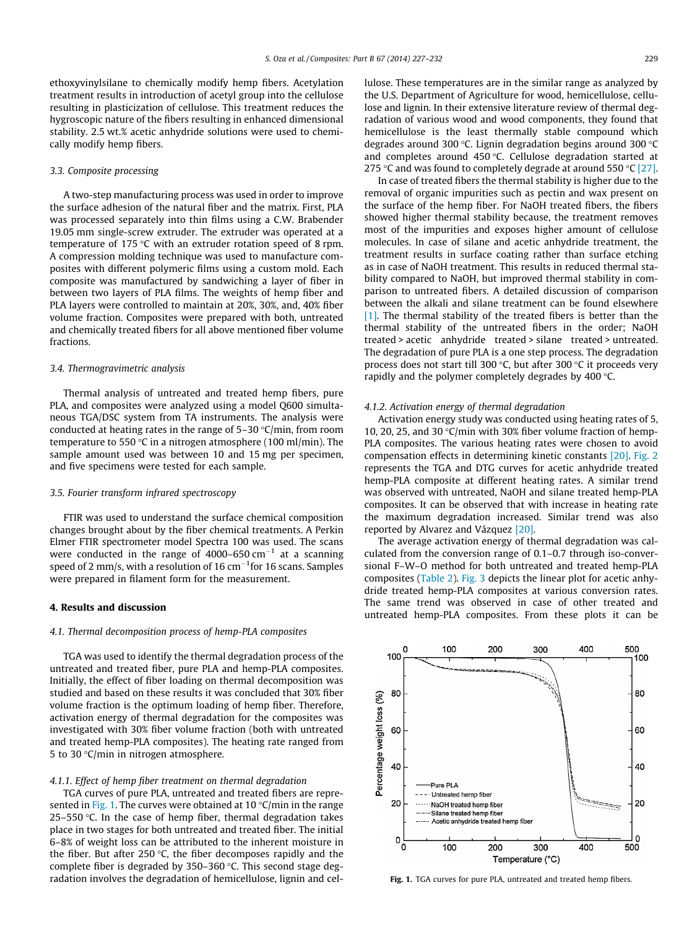ethoxyvinylsilane to chemically modify hemp fibers. Acetylation treatment results in introduction of acetyl group into the cellulose resulting in plasticization of cellulose. This treatment reduces the hygroscopic nature of the fibers resulting in enhanced dimensional stability. 2.5 wt.% acetic anhydride solutions were used to chemically modify hemp fibers.

#### 3.3. Composite processing

A two-step manufacturing process was used in order to improve the surface adhesion of the natural fiber and the matrix. First, PLA was processed separately into thin films using a C.W. Brabender 19.05 mm single-screw extruder. The extruder was operated at a temperature of 175  $\degree$ C with an extruder rotation speed of 8 rpm. A compression molding technique was used to manufacture composites with different polymeric films using a custom mold. Each composite was manufactured by sandwiching a layer of fiber in between two layers of PLA films. The weights of hemp fiber and PLA layers were controlled to maintain at 20%, 30%, and, 40% fiber volume fraction. Composites were prepared with both, untreated and chemically treated fibers for all above mentioned fiber volume fractions.

#### 3.4. Thermogravimetric analysis

Thermal analysis of untreated and treated hemp fibers, pure PLA, and composites were analyzed using a model Q600 simultaneous TGA/DSC system from TA instruments. The analysis were conducted at heating rates in the range of  $5-30$  °C/min, from room temperature to 550 °C in a nitrogen atmosphere (100 ml/min). The sample amount used was between 10 and 15 mg per specimen, and five specimens were tested for each sample.

## 3.5. Fourier transform infrared spectroscopy

FTIR was used to understand the surface chemical composition changes brought about by the fiber chemical treatments. A Perkin Elmer FTIR spectrometer model Spectra 100 was used. The scans were conducted in the range of 4000–650 cm<sup>-1</sup> at a scanning speed of 2 mm/s, with a resolution of 16  $cm^{-1}$ for 16 scans. Samples were prepared in filament form for the measurement.

## 4. Results and discussion

#### 4.1. Thermal decomposition process of hemp-PLA composites

TGA was used to identify the thermal degradation process of the untreated and treated fiber, pure PLA and hemp-PLA composites. Initially, the effect of fiber loading on thermal decomposition was studied and based on these results it was concluded that 30% fiber volume fraction is the optimum loading of hemp fiber. Therefore, activation energy of thermal degradation for the composites was investigated with 30% fiber volume fraction (both with untreated and treated hemp-PLA composites). The heating rate ranged from 5 to 30  $\degree$ C/min in nitrogen atmosphere.

#### 4.1.1. Effect of hemp fiber treatment on thermal degradation

TGA curves of pure PLA, untreated and treated fibers are represented in Fig. 1. The curves were obtained at 10  $\degree$ C/min in the range 25–550 $\degree$ C. In the case of hemp fiber, thermal degradation takes place in two stages for both untreated and treated fiber. The initial 6–8% of weight loss can be attributed to the inherent moisture in the fiber. But after 250 $\degree$ C, the fiber decomposes rapidly and the complete fiber is degraded by  $350-360$  °C. This second stage degradation involves the degradation of hemicellulose, lignin and cellulose. These temperatures are in the similar range as analyzed by the U.S. Department of Agriculture for wood, hemicellulose, cellulose and lignin. In their extensive literature review of thermal degradation of various wood and wood components, they found that hemicellulose is the least thermally stable compound which degrades around 300 °C. Lignin degradation begins around 300 °C and completes around 450 $°C$ . Cellulose degradation started at 275 °C and was found to completely degrade at around 550 °C [\[27\].](#page-5-0)

In case of treated fibers the thermal stability is higher due to the removal of organic impurities such as pectin and wax present on the surface of the hemp fiber. For NaOH treated fibers, the fibers showed higher thermal stability because, the treatment removes most of the impurities and exposes higher amount of cellulose molecules. In case of silane and acetic anhydride treatment, the treatment results in surface coating rather than surface etching as in case of NaOH treatment. This results in reduced thermal stability compared to NaOH, but improved thermal stability in comparison to untreated fibers. A detailed discussion of comparison between the alkali and silane treatment can be found elsewhere  $[1]$ . The thermal stability of the treated fibers is better than the thermal stability of the untreated fibers in the order; NaOH treated > acetic anhydride treated > silane treated > untreated. The degradation of pure PLA is a one step process. The degradation process does not start till 300  $\degree$ C, but after 300  $\degree$ C it proceeds very rapidly and the polymer completely degrades by 400 $\degree$ C.

#### 4.1.2. Activation energy of thermal degradation

Activation energy study was conducted using heating rates of 5, 10, 20, 25, and 30  $\degree$ C/min with 30% fiber volume fraction of hemp-PLA composites. The various heating rates were chosen to avoid compensation effects in determining kinetic constants [\[20\]](#page-5-0). [Fig. 2](#page-3-0) represents the TGA and DTG curves for acetic anhydride treated hemp-PLA composite at different heating rates. A similar trend was observed with untreated, NaOH and silane treated hemp-PLA composites. It can be observed that with increase in heating rate the maximum degradation increased. Similar trend was also reported by Alvarez and Vázquez [\[20\].](#page-5-0)

The average activation energy of thermal degradation was calculated from the conversion range of 0.1–0.7 through iso-conversional F–W–O method for both untreated and treated hemp-PLA composites ([Table 2](#page-3-0)). [Fig. 3](#page-3-0) depicts the linear plot for acetic anhydride treated hemp-PLA composites at various conversion rates. The same trend was observed in case of other treated and untreated hemp-PLA composites. From these plots it can be



Fig. 1. TGA curves for pure PLA, untreated and treated hemp fibers.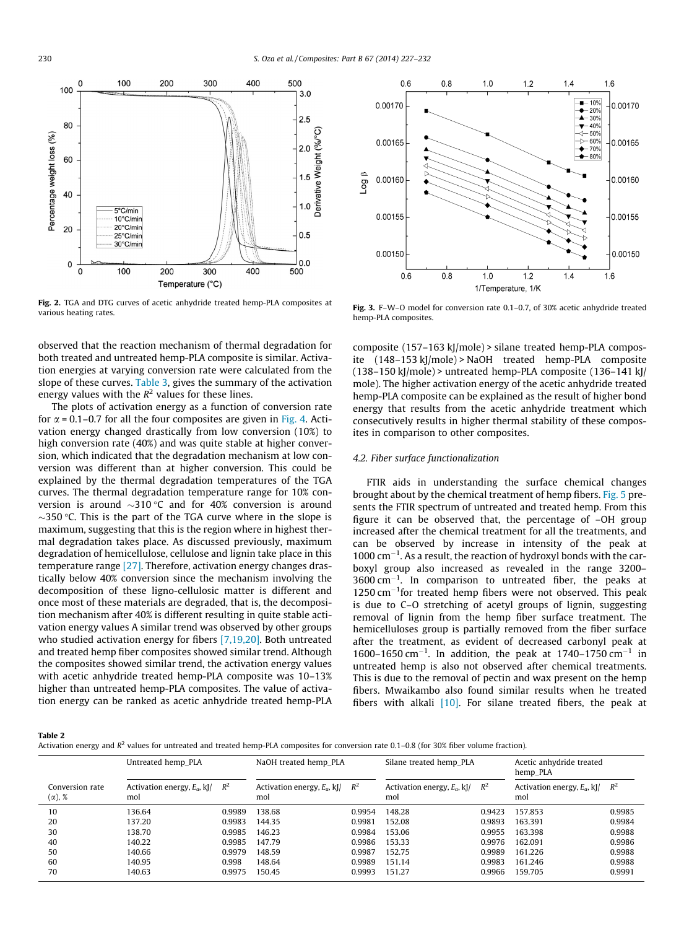Fig. 2. TGA and DTG curves of acetic anhydride treated hemp-PLA composites at various heating rates.

Temperature (°C)

300

200

observed that the reaction mechanism of thermal degradation for both treated and untreated hemp-PLA composite is similar. Activation energies at varying conversion rate were calculated from the slope of these curves. [Table 3](#page-4-0), gives the summary of the activation energy values with the  $R^2$  values for these lines.

The plots of activation energy as a function of conversion rate for  $\alpha$  = 0.1–0.7 for all the four composites are given in [Fig. 4](#page-4-0). Activation energy changed drastically from low conversion (10%) to high conversion rate (40%) and was quite stable at higher conversion, which indicated that the degradation mechanism at low conversion was different than at higher conversion. This could be explained by the thermal degradation temperatures of the TGA curves. The thermal degradation temperature range for 10% conversion is around  $\sim$ 310 °C and for 40% conversion is around  $\sim$ 350 °C. This is the part of the TGA curve where in the slope is maximum, suggesting that this is the region where in highest thermal degradation takes place. As discussed previously, maximum degradation of hemicellulose, cellulose and lignin take place in this temperature range [\[27\].](#page-5-0) Therefore, activation energy changes drastically below 40% conversion since the mechanism involving the decomposition of these ligno-cellulosic matter is different and once most of these materials are degraded, that is, the decomposition mechanism after 40% is different resulting in quite stable activation energy values A similar trend was observed by other groups who studied activation energy for fibers [\[7,19,20\].](#page-5-0) Both untreated and treated hemp fiber composites showed similar trend. Although the composites showed similar trend, the activation energy values with acetic anhydride treated hemp-PLA composite was 10–13% higher than untreated hemp-PLA composites. The value of activation energy can be ranked as acetic anhydride treated hemp-PLA



Fig. 3. F-W-O model for conversion rate 0.1-0.7, of 30% acetic anhydride treated hemp-PLA composites.

composite (157–163 kJ/mole) > silane treated hemp-PLA composite (148–153 kJ/mole) > NaOH treated hemp-PLA composite  $(138-150 \text{ kJ/mole})$  > untreated hemp-PLA composite  $(136-141 \text{ kJ/m}$ mole). The higher activation energy of the acetic anhydride treated hemp-PLA composite can be explained as the result of higher bond energy that results from the acetic anhydride treatment which consecutively results in higher thermal stability of these composites in comparison to other composites.

#### 4.2. Fiber surface functionalization

FTIR aids in understanding the surface chemical changes brought about by the chemical treatment of hemp fibers. [Fig. 5](#page-4-0) presents the FTIR spectrum of untreated and treated hemp. From this figure it can be observed that, the percentage of –OH group increased after the chemical treatment for all the treatments, and can be observed by increase in intensity of the peak at  $1000$  cm $^{-1}$ . As a result, the reaction of hydroxyl bonds with the carboxyl group also increased as revealed in the range 3200–  $3600 \text{ cm}^{-1}$ . In comparison to untreated fiber, the peaks at  $1250$  cm<sup>-1</sup> for treated hemp fibers were not observed. This peak is due to C–O stretching of acetyl groups of lignin, suggesting removal of lignin from the hemp fiber surface treatment. The hemicelluloses group is partially removed from the fiber surface after the treatment, as evident of decreased carbonyl peak at 1600–1650 cm<sup>-1</sup>. In addition, the peak at 1740–1750 cm<sup>-1</sup> in untreated hemp is also not observed after chemical treatments. This is due to the removal of pectin and wax present on the hemp fibers. Mwaikambo also found similar results when he treated fibers with alkali [\[10\].](#page-5-0) For silane treated fibers, the peak at

Table 2

Activation energy and  $R^2$  values for untreated and treated hemp-PLA composites for conversion rate 0.1–0.8 (for 30% fiber volume fraction).

|                           | Untreated hemp_PLA                    |        | NaOH treated hemp_PLA                 |        | Silane treated hemp_PLA               |        | Acetic anhydride treated<br>hemp_PLA  |        |
|---------------------------|---------------------------------------|--------|---------------------------------------|--------|---------------------------------------|--------|---------------------------------------|--------|
| Conversion rate<br>(α), % | Activation energy, $E_a$ , kJ/<br>mol | $R^2$  | Activation energy, $E_a$ , kJ/<br>mol | $R^2$  | Activation energy, $E_a$ , kJ/<br>mol | $R^2$  | Activation energy, $E_a$ , kJ/<br>mol | $R^2$  |
| 10                        | 136.64                                | 0.9989 | 138.68                                | 0.9954 | 148.28                                | 0.9423 | 157.853                               | 0.9985 |
| 20                        | 137.20                                | 0.9983 | 144.35                                | 0.9981 | 152.08                                | 0.9893 | 163.391                               | 0.9984 |
| 30                        | 138.70                                | 0.9985 | 146.23                                | 0.9984 | 153.06                                | 0.9955 | 163.398                               | 0.9988 |
| 40                        | 140.22                                | 0.9985 | 147.79                                | 0.9986 | 153.33                                | 0.9976 | 162.091                               | 0.9986 |
| 50                        | 140.66                                | 0.9979 | 148.59                                | 0.9987 | 152.75                                | 0.9989 | 161.226                               | 0.9988 |
| 60                        | 140.95                                | 0.998  | 148.64                                | 0.9989 | 151.14                                | 0.9983 | 161.246                               | 0.9988 |
| 70                        | 140.63                                | 0.9975 | 150.45                                | 0.9993 | 151.27                                | 0.9966 | 159.705                               | 0.9991 |

<span id="page-3-0"></span>100

 $80$ 

60

40

20

 $\mathbf 0$ 

 $\overline{0}$ 

Percentage weight loss (%)

 $100$ 

5°C/min

 $10^{\circ}$ C/mir

20°C/mir

25°C/min 30°C/mir

100

 $200$ 

300

 $400$ 

400

500

 $3.0$ 

 $25$ 

 $2.0$ 

 $1.5$ 

 $1.0$ 

 $0.5$ 

 $0.0$ 

500

Derivative Weight (%/°C)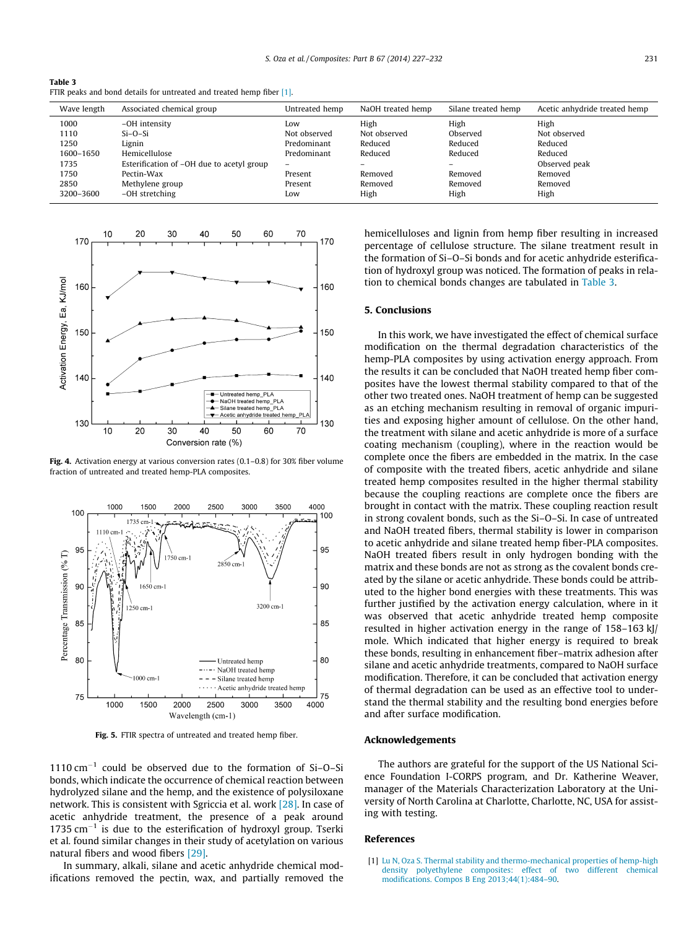<span id="page-4-0"></span>Table 3 FTIR peaks and bond details for untreated and treated hemp fiber [1].

| Wave length | Associated chemical group                 | Untreated hemp           | NaOH treated hemp | Silane treated hemp | Acetic anhydride treated hemp |
|-------------|-------------------------------------------|--------------------------|-------------------|---------------------|-------------------------------|
| 1000        | -OH intensity                             | Low                      | High              | High                | High                          |
| 1110        | $Si-O-Si$                                 | Not observed             | Not observed      | Observed            | Not observed                  |
| 1250        | Lignin                                    | Predominant              | Reduced           | Reduced             | Reduced                       |
| 1600-1650   | Hemicellulose                             | Predominant              | Reduced           | Reduced             | Reduced                       |
| 1735        | Esterification of -OH due to acetyl group | $\overline{\phantom{0}}$ |                   |                     | Observed peak                 |
| 1750        | Pectin-Wax                                | Present                  | Removed           | Removed             | Removed                       |
| 2850        | Methylene group                           | Present                  | Removed           | Removed             | Removed                       |
| 3200-3600   | -OH stretching                            | Low                      | High              | High                | High                          |



Fig. 4. Activation energy at various conversion rates (0.1–0.8) for 30% fiber volume fraction of untreated and treated hemp-PLA composites.



Fig. 5. FTIR spectra of untreated and treated hemp fiber.

1110  $cm^{-1}$  could be observed due to the formation of Si-O-Si bonds, which indicate the occurrence of chemical reaction between hydrolyzed silane and the hemp, and the existence of polysiloxane network. This is consistent with Sgriccia et al. work [\[28\].](#page-5-0) In case of acetic anhydride treatment, the presence of a peak around  $1735$  cm<sup>-1</sup> is due to the esterification of hydroxyl group. Tserki et al. found similar changes in their study of acetylation on various natural fibers and wood fibers [\[29\].](#page-5-0)

In summary, alkali, silane and acetic anhydride chemical modifications removed the pectin, wax, and partially removed the hemicelluloses and lignin from hemp fiber resulting in increased percentage of cellulose structure. The silane treatment result in the formation of Si–O–Si bonds and for acetic anhydride esterification of hydroxyl group was noticed. The formation of peaks in relation to chemical bonds changes are tabulated in Table 3.

## 5. Conclusions

In this work, we have investigated the effect of chemical surface modification on the thermal degradation characteristics of the hemp-PLA composites by using activation energy approach. From the results it can be concluded that NaOH treated hemp fiber composites have the lowest thermal stability compared to that of the other two treated ones. NaOH treatment of hemp can be suggested as an etching mechanism resulting in removal of organic impurities and exposing higher amount of cellulose. On the other hand, the treatment with silane and acetic anhydride is more of a surface coating mechanism (coupling), where in the reaction would be complete once the fibers are embedded in the matrix. In the case of composite with the treated fibers, acetic anhydride and silane treated hemp composites resulted in the higher thermal stability because the coupling reactions are complete once the fibers are brought in contact with the matrix. These coupling reaction result in strong covalent bonds, such as the Si–O–Si. In case of untreated and NaOH treated fibers, thermal stability is lower in comparison to acetic anhydride and silane treated hemp fiber-PLA composites. NaOH treated fibers result in only hydrogen bonding with the matrix and these bonds are not as strong as the covalent bonds created by the silane or acetic anhydride. These bonds could be attributed to the higher bond energies with these treatments. This was further justified by the activation energy calculation, where in it was observed that acetic anhydride treated hemp composite resulted in higher activation energy in the range of 158–163 kJ/ mole. Which indicated that higher energy is required to break these bonds, resulting in enhancement fiber–matrix adhesion after silane and acetic anhydride treatments, compared to NaOH surface modification. Therefore, it can be concluded that activation energy of thermal degradation can be used as an effective tool to understand the thermal stability and the resulting bond energies before and after surface modification.

#### Acknowledgements

The authors are grateful for the support of the US National Science Foundation I-CORPS program, and Dr. Katherine Weaver, manager of the Materials Characterization Laboratory at the University of North Carolina at Charlotte, Charlotte, NC, USA for assisting with testing.

#### References

[1] [Lu N, Oza S. Thermal stability and thermo-mechanical properties of hemp-high](http://refhub.elsevier.com/S1359-8368(14)00278-9/h0005) [density polyethylene composites: effect of two different chemical](http://refhub.elsevier.com/S1359-8368(14)00278-9/h0005) [modifications. Compos B Eng 2013;44\(1\):484–90](http://refhub.elsevier.com/S1359-8368(14)00278-9/h0005).